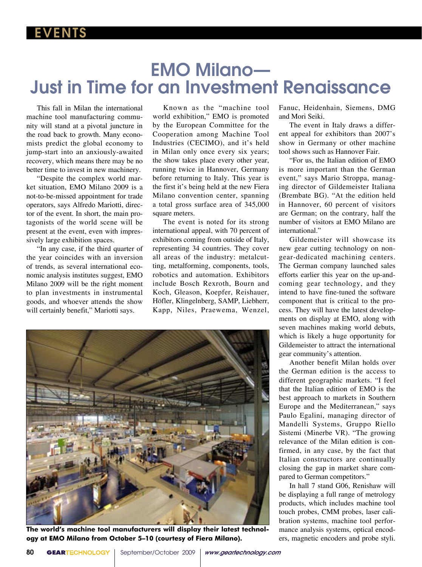# EMO Milano— Just in Time for an Investment Renaissance

 This fall in Milan the international machine tool manufacturing community will stand at a pivotal juncture in the road back to growth. Many economists predict the global economy to jump-start into an anxiously-awaited recovery, which means there may be no better time to invest in new machinery.

 "Despite the complex world market situation, EMO Milano 2009 is a not-to-be-missed appointment for trade operators, says Alfredo Mariotti, director of the event. In short, the main protagonists of the world scene will be present at the event, even with impressively large exhibition spaces.

 "In any case, if the third quarter of the year coincides with an inversion of trends, as several international economic analysis institutes suggest, EMO Milano 2009 will be the right moment to plan investments in instrumental goods, and whoever attends the show will certainly benefit," Mariotti says.

 Known as the "machine tool world exhibition," EMO is promoted by the European Committee for the Cooperation among Machine Tool Industries (CECIMO), and it's held in Milan only once every six years; the show takes place every other year, running twice in Hannover, Germany before returning to Italy. This year is the first it's being held at the new Fiera Milano convention center, spanning a total gross surface area of 345,000 square meters.

 The event is noted for its strong international appeal, with 70 percent of exhibitors coming from outside of Italy, representing 34 countries. They cover all areas of the industry: metalcutting, metalforming, components, tools, robotics and automation. Exhibitors include Bosch Rexroth, Bourn and Koch, Gleason, Koepfer, Reishauer, Höfler, Klingelnberg, SAMP, Liebherr, Kapp, Niles, Praewema, Wenzel,



**The world's machine tool manufacturers will display their latest technology at EMO Milano from October 5–10 (courtesy of Fiera Milano).**

Fanuc, Heidenhain, Siemens, DMG and Mori Seiki.

 The event in Italy draws a different appeal for exhibitors than 2007's show in Germany or other machine tool shows such as Hannover Fair.

 "For us, the Italian edition of EMO is more important than the German event," says Mario Stroppa, managing director of Gildemeister Italiana (Brembate BG). "At the edition held in Hannover, 60 percent of visitors are German; on the contrary, half the number of visitors at EMO Milano are international."

 Gildemeister will showcase its new gear cutting technology on nongear-dedicated machining centers. The German company launched sales efforts earlier this year on the up-andcoming gear technology, and they intend to have fine-tuned the software component that is critical to the process. They will have the latest developments on display at EMO, along with seven machines making world debuts, which is likely a huge opportunity for Gildemeister to attract the international gear community's attention.

 Another benefit Milan holds over the German edition is the access to different geographic markets. "I feel that the Italian edition of EMO is the best approach to markets in Southern Europe and the Mediterranean," says Paulo Egalini, managing director of Mandelli Systems, Gruppo Riello Sistemi (Minerbe VR). "The growing relevance of the Milan edition is confirmed, in any case, by the fact that Italian constructors are continually closing the gap in market share compared to German competitors."

 In hall 7 stand G06, Renishaw will be displaying a full range of metrology products, which includes machine tool touch probes, CMM probes, laser calibration systems, machine tool performance analysis systems, optical encoders, magnetic encoders and probe styli.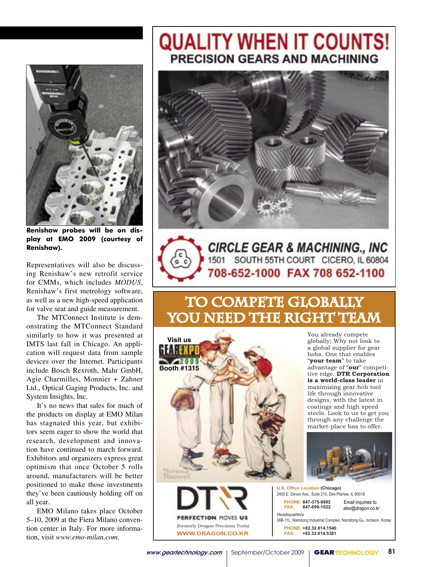

**Renishaw probes will be on dis**memshuw probes win be on uls-<br>play at EMO 2009 (courtesy of **Renishaw).** to the production matrice production of the production of the production of the production of the same of the <br>Hostings and the production of the same of the same of the same of the same of the same of the same of the same  $\sum_{i=1}^{n}$ 

Representatives will also be discussing Renishaw's new retrofit service for CMMs, which includes *MODUS*, Renishaw's first metrology software, as well as a new high-speed application for valve seat and guide measurement.

The MTConnect Institute is demonstrating the MTConnect Standard similarly to how it was presented at IMTS last fall in Chicago. An application will request data from sample devices over the Internet. Participants include Bosch Rexroth, Mahr GmbH, Agie Charmilles, Monnier + Zahner Ltd., Optical Gaging Products, Inc. and System Insights, Inc.

System insights, inc.<br>It's no news that sales for much of It's no hews that sates for much of<br>the products on display at EMO Milan are products on display at ENTO Millard. tors seem eager to show the world that research, development and innova $t_{\text{total}}$  are  $t_{\text{total}}$  and  $t_{\text{total}}$  and  $t_{\text{total}}$  that  $t_{\text{total}}$ Exhibitors and organizers express great optimism that once October  $\frac{1}{2}$  rolls around, manufacturers will be better positioned to make those investments they've been cautiously holding off on all year.

EMO Milano takes place October 5–10, 2009 at the Fiera Milano convention center in Italy. For more information, visit *www.emo-milan.com*.

## **QUALITY WHEN IT COUNTS! PRECISION GEARS AND MACHINING**



CIRCLE GEAR & MACHINING., INC<br>1501 SOUTH 55TH COURT CICERO, IL 60804 708-652-1000 FAX 708 652-1100

## TO COMPETE GLOBALLY YOU NEED THE RIGHT TEAM